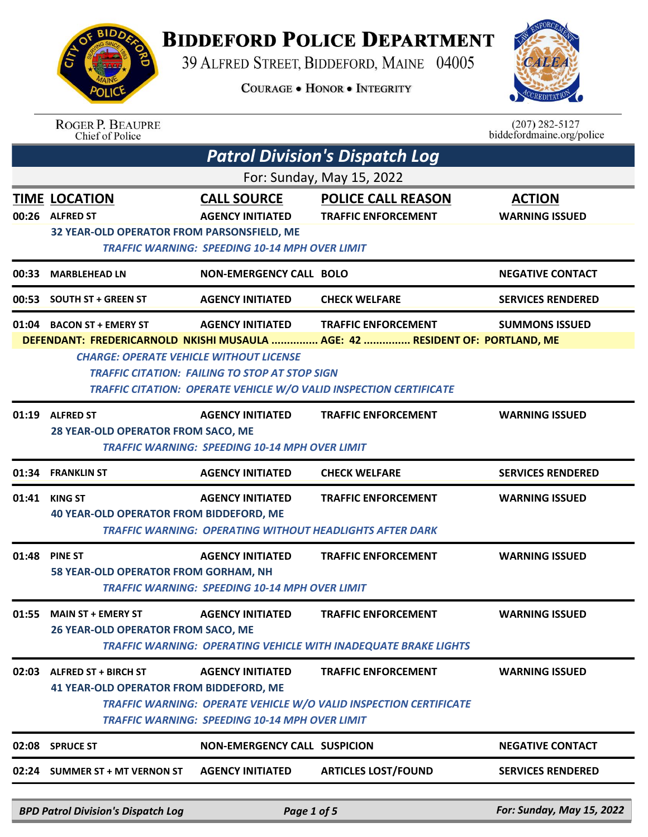## **BIDDEFORD POLICE DEPARTMENT**

39 ALFRED STREET, BIDDEFORD, MAINE 04005

**COURAGE . HONOR . INTEGRITY** 



| <b>ROGER P. BEAUPRE</b> |
|-------------------------|
| Chief of Police         |

 $(207)$  282-5127<br>biddefordmaine.org/police

| <b>Patrol Division's Dispatch Log</b> |                                                                                       |                                                                                                        |                                                                                                                                                                                         |                                        |  |
|---------------------------------------|---------------------------------------------------------------------------------------|--------------------------------------------------------------------------------------------------------|-----------------------------------------------------------------------------------------------------------------------------------------------------------------------------------------|----------------------------------------|--|
| For: Sunday, May 15, 2022             |                                                                                       |                                                                                                        |                                                                                                                                                                                         |                                        |  |
|                                       | <b>TIME LOCATION</b><br>00:26 ALFRED ST<br>32 YEAR-OLD OPERATOR FROM PARSONSFIELD, ME | <b>CALL SOURCE</b><br><b>AGENCY INITIATED</b><br><b>TRAFFIC WARNING: SPEEDING 10-14 MPH OVER LIMIT</b> | <b>POLICE CALL REASON</b><br><b>TRAFFIC ENFORCEMENT</b>                                                                                                                                 | <b>ACTION</b><br><b>WARNING ISSUED</b> |  |
| 00:33                                 | <b>MARBLEHEAD LN</b>                                                                  | NON-EMERGENCY CALL BOLO                                                                                |                                                                                                                                                                                         | <b>NEGATIVE CONTACT</b>                |  |
| 00:53                                 | <b>SOUTH ST + GREEN ST</b>                                                            | <b>AGENCY INITIATED</b>                                                                                | <b>CHECK WELFARE</b>                                                                                                                                                                    | <b>SERVICES RENDERED</b>               |  |
|                                       | 01:04 BACON ST + EMERY ST<br><b>CHARGE: OPERATE VEHICLE WITHOUT LICENSE</b>           | <b>AGENCY INITIATED</b><br><b>TRAFFIC CITATION: FAILING TO STOP AT STOP SIGN</b>                       | <b>TRAFFIC ENFORCEMENT</b><br>DEFENDANT: FREDERICARNOLD NKISHI MUSAULA  AGE: 42  RESIDENT OF: PORTLAND, ME<br><b>TRAFFIC CITATION: OPERATE VEHICLE W/O VALID INSPECTION CERTIFICATE</b> | <b>SUMMONS ISSUED</b>                  |  |
|                                       | 01:19 ALFRED ST<br>28 YEAR-OLD OPERATOR FROM SACO, ME                                 | <b>AGENCY INITIATED</b><br><b>TRAFFIC WARNING: SPEEDING 10-14 MPH OVER LIMIT</b>                       | <b>TRAFFIC ENFORCEMENT</b>                                                                                                                                                              | <b>WARNING ISSUED</b>                  |  |
|                                       | 01:34 FRANKLIN ST                                                                     | <b>AGENCY INITIATED</b>                                                                                | <b>CHECK WELFARE</b>                                                                                                                                                                    | <b>SERVICES RENDERED</b>               |  |
|                                       | 01:41 KING ST<br><b>40 YEAR-OLD OPERATOR FROM BIDDEFORD, ME</b>                       | <b>AGENCY INITIATED</b>                                                                                | <b>TRAFFIC ENFORCEMENT</b><br><b>TRAFFIC WARNING: OPERATING WITHOUT HEADLIGHTS AFTER DARK</b>                                                                                           | <b>WARNING ISSUED</b>                  |  |
|                                       | 01:48 PINE ST<br>58 YEAR-OLD OPERATOR FROM GORHAM, NH                                 | <b>AGENCY INITIATED</b><br><b>TRAFFIC WARNING: SPEEDING 10-14 MPH OVER LIMIT</b>                       | <b>TRAFFIC ENFORCEMENT</b>                                                                                                                                                              | <b>WARNING ISSUED</b>                  |  |
| 01:55                                 | <b>MAIN ST + EMERY ST</b><br>26 YEAR-OLD OPERATOR FROM SACO, ME                       | <b>AGENCY INITIATED</b>                                                                                | <b>TRAFFIC ENFORCEMENT</b><br><b>TRAFFIC WARNING: OPERATING VEHICLE WITH INADEQUATE BRAKE LIGHTS</b>                                                                                    | <b>WARNING ISSUED</b>                  |  |
|                                       | 02:03 ALFRED ST + BIRCH ST<br><b>41 YEAR-OLD OPERATOR FROM BIDDEFORD, ME</b>          | <b>AGENCY INITIATED</b><br><b>TRAFFIC WARNING: SPEEDING 10-14 MPH OVER LIMIT</b>                       | <b>TRAFFIC ENFORCEMENT</b><br>TRAFFIC WARNING: OPERATE VEHICLE W/O VALID INSPECTION CERTIFICATE                                                                                         | <b>WARNING ISSUED</b>                  |  |
|                                       | 02:08 SPRUCE ST                                                                       | <b>NON-EMERGENCY CALL SUSPICION</b>                                                                    |                                                                                                                                                                                         | <b>NEGATIVE CONTACT</b>                |  |
| 02:24                                 | <b>SUMMER ST + MT VERNON ST</b>                                                       | <b>AGENCY INITIATED</b>                                                                                | <b>ARTICLES LOST/FOUND</b>                                                                                                                                                              | <b>SERVICES RENDERED</b>               |  |
|                                       | <b>BPD Patrol Division's Dispatch Log</b>                                             | Page 1 of 5                                                                                            |                                                                                                                                                                                         | For: Sunday, May 15, 2022              |  |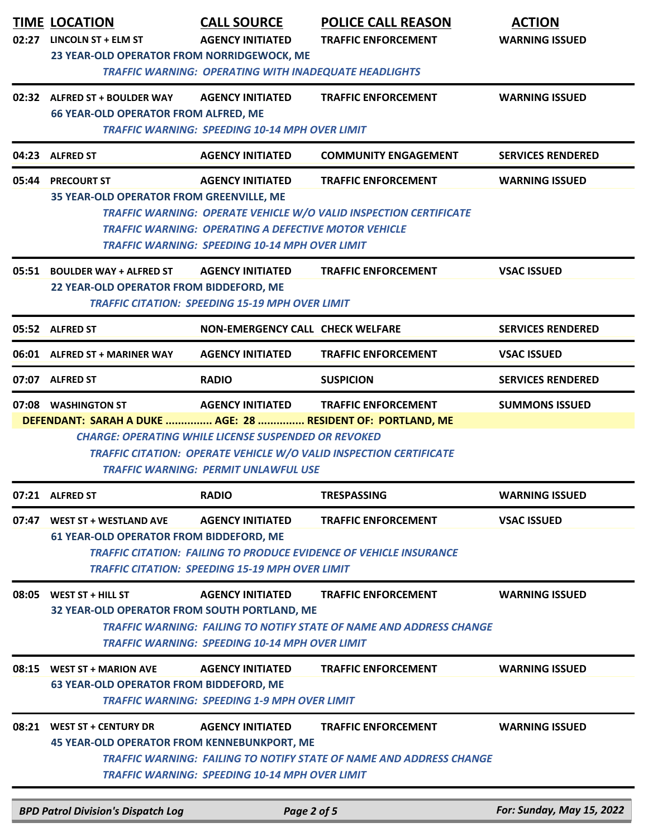| 02:27 | <b>TIME LOCATION</b><br>LINCOLN ST + ELM ST<br>23 YEAR-OLD OPERATOR FROM NORRIDGEWOCK, ME | <b>CALL SOURCE</b><br><b>AGENCY INITIATED</b><br><b>TRAFFIC WARNING: OPERATING WITH INADEQUATE HEADLIGHTS</b>                                   | <b>POLICE CALL REASON</b><br><b>TRAFFIC ENFORCEMENT</b>                                                  | <b>ACTION</b><br><b>WARNING ISSUED</b> |
|-------|-------------------------------------------------------------------------------------------|-------------------------------------------------------------------------------------------------------------------------------------------------|----------------------------------------------------------------------------------------------------------|----------------------------------------|
|       | 02:32 ALFRED ST + BOULDER WAY<br><b>66 YEAR-OLD OPERATOR FROM ALFRED, ME</b>              | <b>AGENCY INITIATED</b><br><b>TRAFFIC WARNING: SPEEDING 10-14 MPH OVER LIMIT</b>                                                                | <b>TRAFFIC ENFORCEMENT</b>                                                                               | <b>WARNING ISSUED</b>                  |
|       | 04:23 ALFRED ST                                                                           | <b>AGENCY INITIATED</b>                                                                                                                         | <b>COMMUNITY ENGAGEMENT</b>                                                                              | <b>SERVICES RENDERED</b>               |
| 05:44 | <b>PRECOURT ST</b><br>35 YEAR-OLD OPERATOR FROM GREENVILLE, ME                            | <b>AGENCY INITIATED</b><br><b>TRAFFIC WARNING: OPERATING A DEFECTIVE MOTOR VEHICLE</b><br><b>TRAFFIC WARNING: SPEEDING 10-14 MPH OVER LIMIT</b> | <b>TRAFFIC ENFORCEMENT</b><br>TRAFFIC WARNING: OPERATE VEHICLE W/O VALID INSPECTION CERTIFICATE          | <b>WARNING ISSUED</b>                  |
|       | 05:51 BOULDER WAY + ALFRED ST<br>22 YEAR-OLD OPERATOR FROM BIDDEFORD, ME                  | <b>AGENCY INITIATED</b><br><b>TRAFFIC CITATION: SPEEDING 15-19 MPH OVER LIMIT</b>                                                               | <b>TRAFFIC ENFORCEMENT</b>                                                                               | <b>VSAC ISSUED</b>                     |
|       | 05:52 ALFRED ST                                                                           | <b>NON-EMERGENCY CALL CHECK WELFARE</b>                                                                                                         |                                                                                                          | <b>SERVICES RENDERED</b>               |
|       | 06:01 ALFRED ST + MARINER WAY                                                             | <b>AGENCY INITIATED</b>                                                                                                                         | <b>TRAFFIC ENFORCEMENT</b>                                                                               | <b>VSAC ISSUED</b>                     |
|       | 07:07 ALFRED ST                                                                           | <b>RADIO</b>                                                                                                                                    | <b>SUSPICION</b>                                                                                         | <b>SERVICES RENDERED</b>               |
|       | 07:08 WASHINGTON ST<br>DEFENDANT: SARAH A DUKE  AGE: 28  RESIDENT OF: PORTLAND, ME        | <b>AGENCY INITIATED</b><br><b>CHARGE: OPERATING WHILE LICENSE SUSPENDED OR REVOKED</b><br><b>TRAFFIC WARNING: PERMIT UNLAWFUL USE</b>           | <b>TRAFFIC ENFORCEMENT</b><br><b>TRAFFIC CITATION: OPERATE VEHICLE W/O VALID INSPECTION CERTIFICATE</b>  | <b>SUMMONS ISSUED</b>                  |
|       | 07:21 ALFRED ST                                                                           | <b>RADIO</b>                                                                                                                                    | <b>TRESPASSING</b>                                                                                       | <b>WARNING ISSUED</b>                  |
| 07:47 | <b>WEST ST + WESTLAND AVE</b><br>61 YEAR-OLD OPERATOR FROM BIDDEFORD, ME                  | <b>AGENCY INITIATED</b><br><b>TRAFFIC CITATION: SPEEDING 15-19 MPH OVER LIMIT</b>                                                               | <b>TRAFFIC ENFORCEMENT</b><br><b>TRAFFIC CITATION: FAILING TO PRODUCE EVIDENCE OF VEHICLE INSURANCE</b>  | <b>VSAC ISSUED</b>                     |
| 08:05 | WEST ST + HILL ST<br>32 YEAR-OLD OPERATOR FROM SOUTH PORTLAND, ME                         | <b>AGENCY INITIATED</b><br><b>TRAFFIC WARNING: SPEEDING 10-14 MPH OVER LIMIT</b>                                                                | <b>TRAFFIC ENFORCEMENT</b><br><b>TRAFFIC WARNING: FAILING TO NOTIFY STATE OF NAME AND ADDRESS CHANGE</b> | <b>WARNING ISSUED</b>                  |
| 08:15 | <b>WEST ST + MARION AVE</b><br><b>63 YEAR-OLD OPERATOR FROM BIDDEFORD, ME</b>             | <b>AGENCY INITIATED</b><br><b>TRAFFIC WARNING: SPEEDING 1-9 MPH OVER LIMIT</b>                                                                  | <b>TRAFFIC ENFORCEMENT</b>                                                                               | <b>WARNING ISSUED</b>                  |
|       | 08:21 WEST ST + CENTURY DR<br>45 YEAR-OLD OPERATOR FROM KENNEBUNKPORT, ME                 | <b>AGENCY INITIATED</b><br><b>TRAFFIC WARNING: SPEEDING 10-14 MPH OVER LIMIT</b>                                                                | <b>TRAFFIC ENFORCEMENT</b><br><b>TRAFFIC WARNING: FAILING TO NOTIFY STATE OF NAME AND ADDRESS CHANGE</b> | <b>WARNING ISSUED</b>                  |
|       | <b>BPD Patrol Division's Dispatch Log</b>                                                 | Page 2 of 5                                                                                                                                     |                                                                                                          | For: Sunday, May 15, 2022              |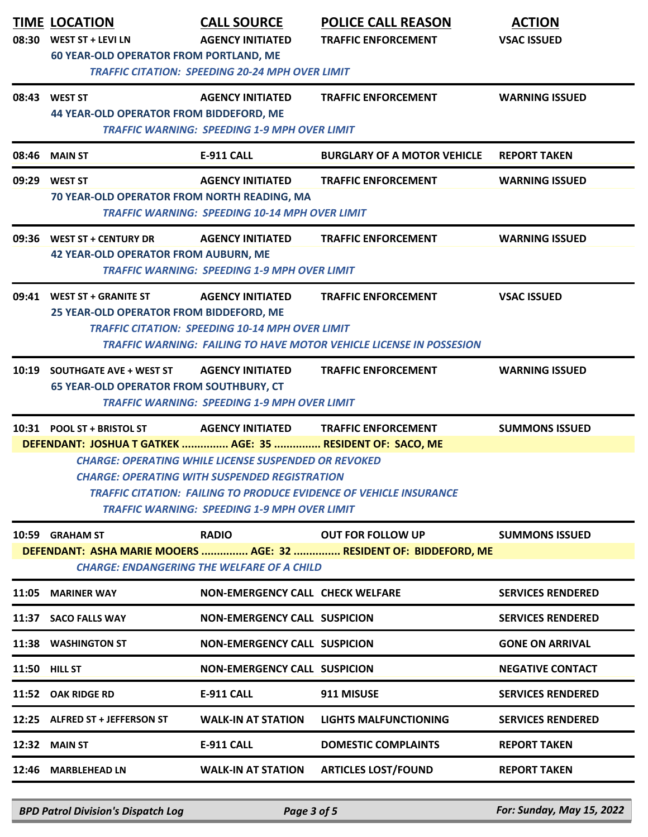| <b>TIME LOCATION</b><br>08:30 WEST ST + LEVI LN<br><b>60 YEAR-OLD OPERATOR FROM PORTLAND, ME</b>                                                                                                                                                                                                                                                                                                                                      | <b>CALL SOURCE</b><br><b>AGENCY INITIATED</b><br><b>TRAFFIC CITATION: SPEEDING 20-24 MPH OVER LIMIT</b> | <b>POLICE CALL REASON</b><br><b>TRAFFIC ENFORCEMENT</b>                                           | <b>ACTION</b><br><b>VSAC ISSUED</b> |  |  |
|---------------------------------------------------------------------------------------------------------------------------------------------------------------------------------------------------------------------------------------------------------------------------------------------------------------------------------------------------------------------------------------------------------------------------------------|---------------------------------------------------------------------------------------------------------|---------------------------------------------------------------------------------------------------|-------------------------------------|--|--|
| 08:43 WEST ST<br><b>44 YEAR-OLD OPERATOR FROM BIDDEFORD, ME</b>                                                                                                                                                                                                                                                                                                                                                                       | <b>AGENCY INITIATED</b><br><b>TRAFFIC WARNING: SPEEDING 1-9 MPH OVER LIMIT</b>                          | <b>TRAFFIC ENFORCEMENT</b>                                                                        | <b>WARNING ISSUED</b>               |  |  |
| 08:46 MAIN ST                                                                                                                                                                                                                                                                                                                                                                                                                         | <b>E-911 CALL</b>                                                                                       | <b>BURGLARY OF A MOTOR VEHICLE</b>                                                                | <b>REPORT TAKEN</b>                 |  |  |
| 09:29 WEST ST<br>70 YEAR-OLD OPERATOR FROM NORTH READING, MA                                                                                                                                                                                                                                                                                                                                                                          | <b>AGENCY INITIATED</b><br><b>TRAFFIC WARNING: SPEEDING 10-14 MPH OVER LIMIT</b>                        | <b>TRAFFIC ENFORCEMENT</b>                                                                        | <b>WARNING ISSUED</b>               |  |  |
| 09:36 WEST ST + CENTURY DR<br><b>42 YEAR-OLD OPERATOR FROM AUBURN, ME</b>                                                                                                                                                                                                                                                                                                                                                             | <b>AGENCY INITIATED</b><br><b>TRAFFIC WARNING: SPEEDING 1-9 MPH OVER LIMIT</b>                          | <b>TRAFFIC ENFORCEMENT</b>                                                                        | <b>WARNING ISSUED</b>               |  |  |
| 09:41 WEST ST + GRANITE ST<br>25 YEAR-OLD OPERATOR FROM BIDDEFORD, ME                                                                                                                                                                                                                                                                                                                                                                 | <b>AGENCY INITIATED</b><br><b>TRAFFIC CITATION: SPEEDING 10-14 MPH OVER LIMIT</b>                       | <b>TRAFFIC ENFORCEMENT</b><br>TRAFFIC WARNING: FAILING TO HAVE MOTOR VEHICLE LICENSE IN POSSESION | <b>VSAC ISSUED</b>                  |  |  |
| 10:19 SOUTHGATE AVE + WEST ST<br><b>65 YEAR-OLD OPERATOR FROM SOUTHBURY, CT</b>                                                                                                                                                                                                                                                                                                                                                       | <b>AGENCY INITIATED</b><br><b>TRAFFIC WARNING: SPEEDING 1-9 MPH OVER LIMIT</b>                          | <b>TRAFFIC ENFORCEMENT</b>                                                                        | <b>WARNING ISSUED</b>               |  |  |
| 10:31 POOL ST + BRISTOL ST<br><b>AGENCY INITIATED</b><br><b>TRAFFIC ENFORCEMENT</b><br><b>SUMMONS ISSUED</b><br>DEFENDANT: JOSHUA T GATKEK  AGE: 35  RESIDENT OF: SACO, ME<br><b>CHARGE: OPERATING WHILE LICENSE SUSPENDED OR REVOKED</b><br><b>CHARGE: OPERATING WITH SUSPENDED REGISTRATION</b><br><b>TRAFFIC CITATION: FAILING TO PRODUCE EVIDENCE OF VEHICLE INSURANCE</b><br><b>TRAFFIC WARNING: SPEEDING 1-9 MPH OVER LIMIT</b> |                                                                                                         |                                                                                                   |                                     |  |  |
| 10:59 GRAHAM ST                                                                                                                                                                                                                                                                                                                                                                                                                       | <b>RADIO</b><br>CHARGE: ENDANGERING THE WELFARE OF A CHILD                                              | <b>OUT FOR FOLLOW UP</b><br>DEFENDANT: ASHA MARIE MOOERS  AGE: 32  RESIDENT OF: BIDDEFORD, ME     | <b>SUMMONS ISSUED</b>               |  |  |
| 11:05 MARINER WAY                                                                                                                                                                                                                                                                                                                                                                                                                     | NON-EMERGENCY CALL CHECK WELFARE                                                                        |                                                                                                   | <b>SERVICES RENDERED</b>            |  |  |
| 11:37 SACO FALLS WAY                                                                                                                                                                                                                                                                                                                                                                                                                  | <b>NON-EMERGENCY CALL SUSPICION</b>                                                                     |                                                                                                   | <b>SERVICES RENDERED</b>            |  |  |
| 11:38 WASHINGTON ST                                                                                                                                                                                                                                                                                                                                                                                                                   | <b>NON-EMERGENCY CALL SUSPICION</b>                                                                     |                                                                                                   | <b>GONE ON ARRIVAL</b>              |  |  |
| <b>11:50 HILL ST</b>                                                                                                                                                                                                                                                                                                                                                                                                                  | <b>NON-EMERGENCY CALL SUSPICION</b>                                                                     |                                                                                                   | <b>NEGATIVE CONTACT</b>             |  |  |
| 11:52 OAK RIDGE RD                                                                                                                                                                                                                                                                                                                                                                                                                    | <b>E-911 CALL</b>                                                                                       | 911 MISUSE                                                                                        | <b>SERVICES RENDERED</b>            |  |  |
| 12:25 ALFRED ST + JEFFERSON ST                                                                                                                                                                                                                                                                                                                                                                                                        | <b>WALK-IN AT STATION</b>                                                                               | LIGHTS MALFUNCTIONING                                                                             | <b>SERVICES RENDERED</b>            |  |  |
| <b>12:32 MAIN ST</b>                                                                                                                                                                                                                                                                                                                                                                                                                  | <b>E-911 CALL</b>                                                                                       | <b>DOMESTIC COMPLAINTS</b>                                                                        | <b>REPORT TAKEN</b>                 |  |  |
| 12:46 MARBLEHEAD LN                                                                                                                                                                                                                                                                                                                                                                                                                   | <b>WALK-IN AT STATION</b>                                                                               | <b>ARTICLES LOST/FOUND</b>                                                                        | <b>REPORT TAKEN</b>                 |  |  |

*BPD Patrol Division's Dispatch Log Page 3 of 5 For: Sunday, May 15, 2022*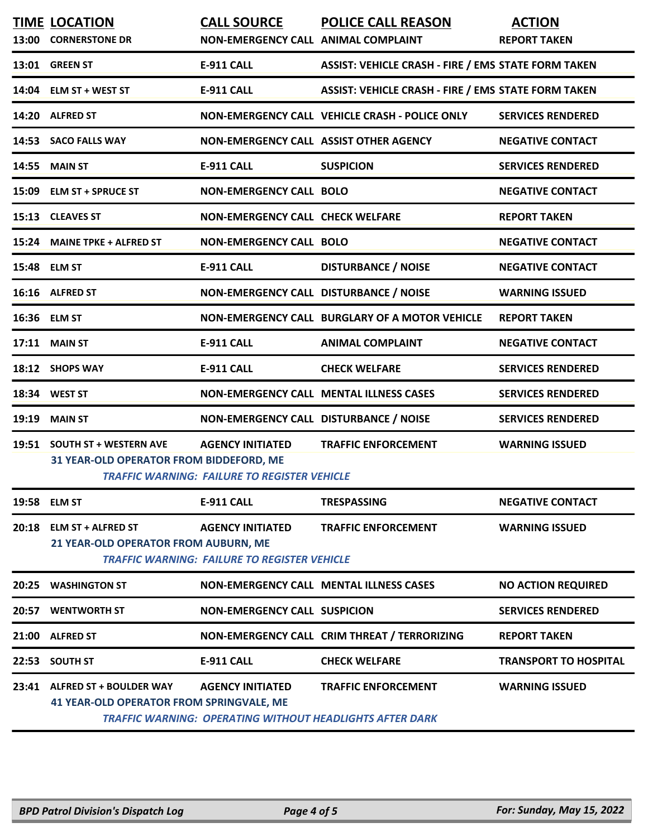|       | <b>TIME LOCATION</b><br>13:00 CORNERSTONE DR                                     | <b>CALL SOURCE</b><br>NON-EMERGENCY CALL ANIMAL COMPLAINT                      | <b>POLICE CALL REASON</b>                                                                     | <b>ACTION</b><br><b>REPORT TAKEN</b> |
|-------|----------------------------------------------------------------------------------|--------------------------------------------------------------------------------|-----------------------------------------------------------------------------------------------|--------------------------------------|
|       | 13:01 GREEN ST                                                                   | <b>E-911 CALL</b>                                                              | <b>ASSIST: VEHICLE CRASH - FIRE / EMS STATE FORM TAKEN</b>                                    |                                      |
|       | 14:04 ELM ST + WEST ST                                                           | <b>E-911 CALL</b>                                                              | <b>ASSIST: VEHICLE CRASH - FIRE / EMS STATE FORM TAKEN</b>                                    |                                      |
|       | 14:20 ALFRED ST                                                                  |                                                                                | NON-EMERGENCY CALL VEHICLE CRASH - POLICE ONLY                                                | <b>SERVICES RENDERED</b>             |
|       | 14:53 SACO FALLS WAY                                                             | NON-EMERGENCY CALL ASSIST OTHER AGENCY                                         |                                                                                               | <b>NEGATIVE CONTACT</b>              |
| 14:55 | <b>MAIN ST</b>                                                                   | <b>E-911 CALL</b>                                                              | <b>SUSPICION</b>                                                                              | <b>SERVICES RENDERED</b>             |
|       | 15:09 ELM ST + SPRUCE ST                                                         | <b>NON-EMERGENCY CALL BOLO</b>                                                 |                                                                                               | <b>NEGATIVE CONTACT</b>              |
|       | 15:13 CLEAVES ST                                                                 | <b>NON-EMERGENCY CALL CHECK WELFARE</b>                                        |                                                                                               | <b>REPORT TAKEN</b>                  |
|       | 15:24 MAINE TPKE + ALFRED ST                                                     | <b>NON-EMERGENCY CALL BOLO</b>                                                 |                                                                                               | <b>NEGATIVE CONTACT</b>              |
|       | 15:48 ELM ST                                                                     | <b>E-911 CALL</b>                                                              | <b>DISTURBANCE / NOISE</b>                                                                    | <b>NEGATIVE CONTACT</b>              |
|       | 16:16 ALFRED ST                                                                  | NON-EMERGENCY CALL DISTURBANCE / NOISE                                         |                                                                                               | <b>WARNING ISSUED</b>                |
|       | 16:36 ELM ST                                                                     |                                                                                | NON-EMERGENCY CALL BURGLARY OF A MOTOR VEHICLE                                                | <b>REPORT TAKEN</b>                  |
|       | 17:11 MAIN ST                                                                    | <b>E-911 CALL</b>                                                              | <b>ANIMAL COMPLAINT</b>                                                                       | <b>NEGATIVE CONTACT</b>              |
|       | 18:12 SHOPS WAY                                                                  | <b>E-911 CALL</b>                                                              | <b>CHECK WELFARE</b>                                                                          | <b>SERVICES RENDERED</b>             |
|       | 18:34 WEST ST                                                                    |                                                                                | NON-EMERGENCY CALL MENTAL ILLNESS CASES                                                       | <b>SERVICES RENDERED</b>             |
|       | 19:19 MAIN ST                                                                    | NON-EMERGENCY CALL DISTURBANCE / NOISE                                         |                                                                                               | <b>SERVICES RENDERED</b>             |
|       | 19:51 SOUTH ST + WESTERN AVE<br>31 YEAR-OLD OPERATOR FROM BIDDEFORD, ME          | <b>AGENCY INITIATED</b><br><b>TRAFFIC WARNING: FAILURE TO REGISTER VEHICLE</b> | <b>TRAFFIC ENFORCEMENT</b>                                                                    | <b>WARNING ISSUED</b>                |
|       | 19:58 ELM ST                                                                     | <b>E-911 CALL</b>                                                              | <b>TRESPASSING</b>                                                                            | <b>NEGATIVE CONTACT</b>              |
|       | 20:18 ELM ST + ALFRED ST<br>21 YEAR-OLD OPERATOR FROM AUBURN, ME                 | <b>AGENCY INITIATED</b><br><b>TRAFFIC WARNING: FAILURE TO REGISTER VEHICLE</b> | <b>TRAFFIC ENFORCEMENT</b>                                                                    | <b>WARNING ISSUED</b>                |
|       | 20:25 WASHINGTON ST                                                              |                                                                                | NON-EMERGENCY CALL MENTAL ILLNESS CASES                                                       | <b>NO ACTION REQUIRED</b>            |
|       | 20:57 WENTWORTH ST                                                               | <b>NON-EMERGENCY CALL SUSPICION</b>                                            |                                                                                               | <b>SERVICES RENDERED</b>             |
|       | 21:00 ALFRED ST                                                                  |                                                                                | NON-EMERGENCY CALL CRIM THREAT / TERRORIZING                                                  | <b>REPORT TAKEN</b>                  |
|       | 22:53 SOUTH ST                                                                   | <b>E-911 CALL</b>                                                              | <b>CHECK WELFARE</b>                                                                          | <b>TRANSPORT TO HOSPITAL</b>         |
|       | 23:41 ALFRED ST + BOULDER WAY<br><b>41 YEAR-OLD OPERATOR FROM SPRINGVALE, ME</b> | <b>AGENCY INITIATED</b>                                                        | <b>TRAFFIC ENFORCEMENT</b><br><b>TRAFFIC WARNING: OPERATING WITHOUT HEADLIGHTS AFTER DARK</b> | <b>WARNING ISSUED</b>                |